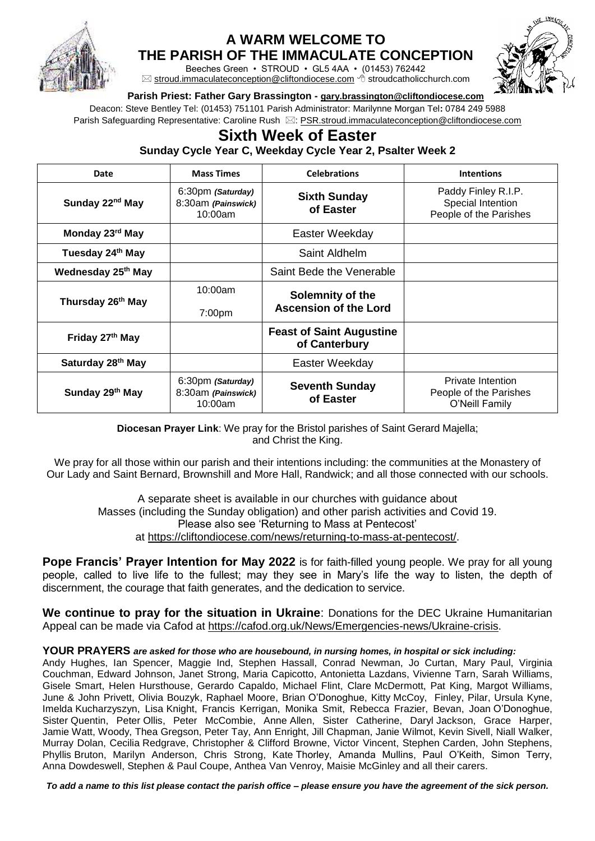

## **A WARM WELCOME TO**

**THE PARISH OF THE IMMACULATE CONCEPTION**

Beeches Green • STROUD • GL5 4AA • (01453) 762442  $\boxtimes$  [stroud.immaculateconception@cliftondiocese.com](mailto:stroud.immaculateconception@cliftondiocese.com)  $\triangleleft$  stroudcatholicchurch.com



## **Parish Priest: Father Gary Brassington - [gary.brassington@cliftondiocese.com](mailto:gary.brassington@cliftondiocese.com)**

Deacon: Steve Bentley Tel: (01453) 751101 Parish Administrator: Marilynne Morgan Tel**:** 0784 249 5988 Parish Safeguarding Representative: Caroline Rush  $\boxtimes$ [: PSR.stroud.immaculateconception@cliftondiocese.com](mailto:PSR.stroud.immaculateconception@cliftondiocese.com)

## **Sixth Week of Easter Sunday Cycle Year C, Weekday Cycle Year 2, Psalter Week 2**

| Date                          | <b>Mass Times</b>                                  | <b>Celebrations</b>                              | <b>Intentions</b>                                                    |
|-------------------------------|----------------------------------------------------|--------------------------------------------------|----------------------------------------------------------------------|
| Sunday 22 <sup>nd</sup> May   | 6:30pm (Saturday)<br>8:30am (Painswick)<br>10:00am | <b>Sixth Sunday</b><br>of Easter                 | Paddy Finley R.I.P.<br>Special Intention<br>People of the Parishes   |
| Monday 23rd May               |                                                    | Easter Weekday                                   |                                                                      |
| Tuesday 24 <sup>th</sup> May  |                                                    | Saint Aldhelm                                    |                                                                      |
| Wednesday 25th May            |                                                    | Saint Bede the Venerable                         |                                                                      |
| Thursday 26 <sup>th</sup> May | 10:00am<br>7:00pm                                  | Solemnity of the<br><b>Ascension of the Lord</b> |                                                                      |
| Friday 27th May               |                                                    | <b>Feast of Saint Augustine</b><br>of Canterbury |                                                                      |
| Saturday 28 <sup>th</sup> May |                                                    | Easter Weekday                                   |                                                                      |
| Sunday 29th May               | 6:30pm (Saturday)<br>8:30am (Painswick)<br>10:00am | <b>Seventh Sunday</b><br>of Easter               | <b>Private Intention</b><br>People of the Parishes<br>O'Neill Family |

**Diocesan Prayer Link**: We pray for the Bristol parishes of Saint Gerard Majella; and Christ the King.

We pray for all those within our parish and their intentions including: the communities at the Monastery of Our Lady and Saint Bernard, Brownshill and More Hall, Randwick; and all those connected with our schools.

A separate sheet is available in our churches with guidance about Masses (including the Sunday obligation) and other parish activities and Covid 19. Please also see 'Returning to Mass at Pentecost' at [https://cliftondiocese.com/news/returning-to-mass-at-pentecost/.](https://cliftondiocese.com/news/returning-to-mass-at-pentecost/)

**Pope Francis' Prayer Intention for May 2022** is for faith-filled young people. We pray for all young people, called to live life to the fullest; may they see in Mary's life the way to listen, the depth of discernment, the courage that faith generates, and the dedication to service.

**We continue to pray for the situation in Ukraine**: Donations for the DEC Ukraine Humanitarian Appeal can be made via Cafod at [https://cafod.org.uk/News/Emergencies-news/Ukraine-crisis.](https://cafod.org.uk/News/Emergencies-news/Ukraine-crisis)

## **YOUR PRAYERS** *are asked for those who are housebound, in nursing homes, in hospital or sick including:*

Andy Hughes, Ian Spencer, Maggie Ind, Stephen Hassall, Conrad Newman, Jo Curtan, Mary Paul, Virginia Couchman, Edward Johnson, Janet Strong, Maria Capicotto, Antonietta Lazdans, Vivienne Tarn, Sarah Williams, Gisele Smart, Helen Hursthouse, Gerardo Capaldo, Michael Flint, Clare McDermott, Pat King, Margot Williams, June & John Privett, Olivia Bouzyk, Raphael Moore, Brian O'Donoghue, Kitty McCoy, Finley, Pilar, Ursula Kyne, Imelda Kucharzyszyn, Lisa Knight, Francis Kerrigan, Monika Smit, Rebecca Frazier, Bevan, Joan O'Donoghue, Sister Quentin, Peter Ollis, Peter McCombie, Anne Allen, Sister Catherine, Daryl Jackson, Grace Harper, Jamie Watt, Woody, Thea Gregson, Peter Tay, Ann Enright, Jill Chapman, Janie Wilmot, Kevin Sivell, Niall Walker, Murray Dolan, Cecilia Redgrave, Christopher & Clifford Browne, Victor Vincent, Stephen Carden, John Stephens, Phyllis Bruton, Marilyn Anderson, Chris Strong, Kate Thorley, Amanda Mullins, Paul O'Keith, Simon Terry, Anna Dowdeswell, Stephen & Paul Coupe, Anthea Van Venroy, Maisie McGinley and all their carers.

*To add a name to this list please contact the parish office – please ensure you have the agreement of the sick person.*